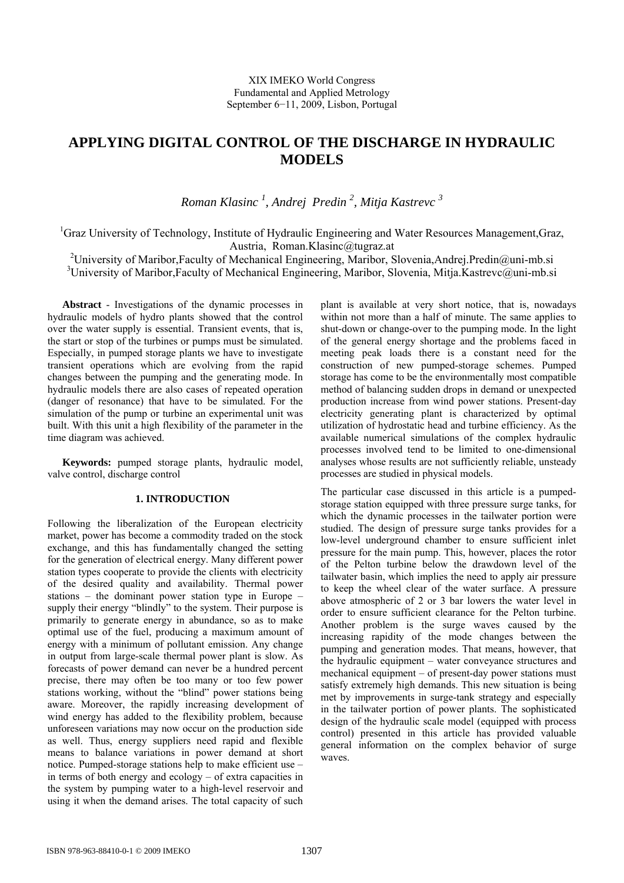# **APPLYING DIGITAL CONTROL OF THE DISCHARGE IN HYDRAULIC MODELS**

*Roman Klasinc 1 , Andrej Predin 2 , Mitja Kastrevc 3* 

<sup>1</sup>Graz University of Technology, Institute of Hydraulic Engineering and Water Resources Management, Graz, Austria, Roman.Klasinc@tugraz.at

<sup>2</sup>University of Maribor, Faculty of Mechanical Engineering, Maribor, Slovenia, Andrej. Predin@uni-mb.si <sup>3</sup>University of Maribor,Faculty of Mechanical Engineering, Maribor, Slovenia, Mitja.Kastrevc@uni-mb.si

**Abstract** - Investigations of the dynamic processes in hydraulic models of hydro plants showed that the control over the water supply is essential. Transient events, that is, the start or stop of the turbines or pumps must be simulated. Especially, in pumped storage plants we have to investigate transient operations which are evolving from the rapid changes between the pumping and the generating mode. In hydraulic models there are also cases of repeated operation (danger of resonance) that have to be simulated. For the simulation of the pump or turbine an experimental unit was built. With this unit a high flexibility of the parameter in the time diagram was achieved.

**Keywords:** pumped storage plants, hydraulic model, valve control, discharge control

## **1. INTRODUCTION**

Following the liberalization of the European electricity market, power has become a commodity traded on the stock exchange, and this has fundamentally changed the setting for the generation of electrical energy. Many different power station types cooperate to provide the clients with electricity of the desired quality and availability. Thermal power stations – the dominant power station type in Europe – supply their energy "blindly" to the system. Their purpose is primarily to generate energy in abundance, so as to make optimal use of the fuel, producing a maximum amount of energy with a minimum of pollutant emission. Any change in output from large-scale thermal power plant is slow. As forecasts of power demand can never be a hundred percent precise, there may often be too many or too few power stations working, without the "blind" power stations being aware. Moreover, the rapidly increasing development of wind energy has added to the flexibility problem, because unforeseen variations may now occur on the production side as well. Thus, energy suppliers need rapid and flexible means to balance variations in power demand at short notice. Pumped-storage stations help to make efficient use – in terms of both energy and ecology – of extra capacities in the system by pumping water to a high-level reservoir and using it when the demand arises. The total capacity of such plant is available at very short notice, that is, nowadays within not more than a half of minute. The same applies to shut-down or change-over to the pumping mode. In the light of the general energy shortage and the problems faced in meeting peak loads there is a constant need for the construction of new pumped-storage schemes. Pumped storage has come to be the environmentally most compatible method of balancing sudden drops in demand or unexpected production increase from wind power stations. Present-day electricity generating plant is characterized by optimal utilization of hydrostatic head and turbine efficiency. As the available numerical simulations of the complex hydraulic processes involved tend to be limited to one-dimensional analyses whose results are not sufficiently reliable, unsteady processes are studied in physical models.

The particular case discussed in this article is a pumpedstorage station equipped with three pressure surge tanks, for which the dynamic processes in the tailwater portion were studied. The design of pressure surge tanks provides for a low-level underground chamber to ensure sufficient inlet pressure for the main pump. This, however, places the rotor of the Pelton turbine below the drawdown level of the tailwater basin, which implies the need to apply air pressure to keep the wheel clear of the water surface. A pressure above atmospheric of 2 or 3 bar lowers the water level in order to ensure sufficient clearance for the Pelton turbine. Another problem is the surge waves caused by the increasing rapidity of the mode changes between the pumping and generation modes. That means, however, that the hydraulic equipment – water conveyance structures and mechanical equipment – of present-day power stations must satisfy extremely high demands. This new situation is being met by improvements in surge-tank strategy and especially in the tailwater portion of power plants. The sophisticated design of the hydraulic scale model (equipped with process control) presented in this article has provided valuable general information on the complex behavior of surge waves.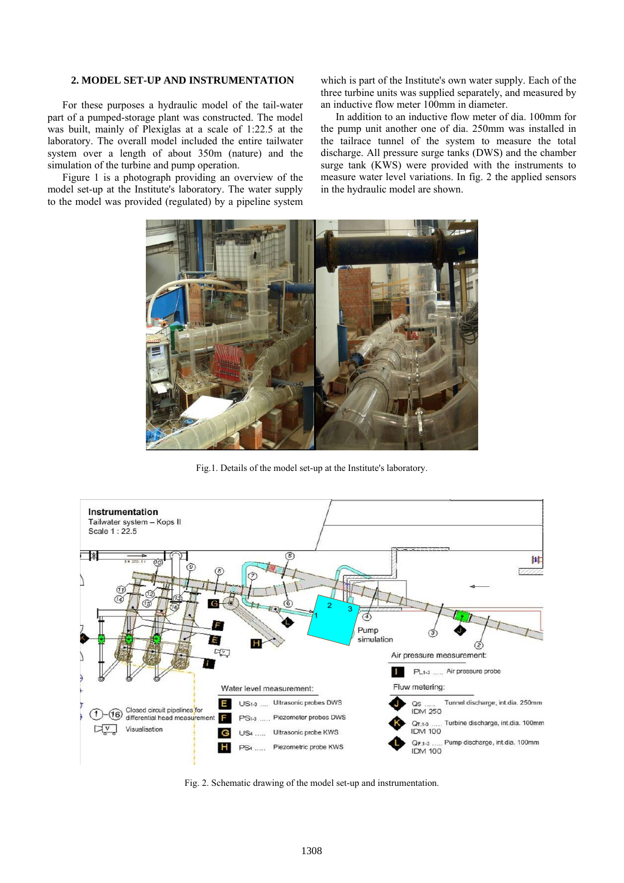#### **2. MODEL SET-UP AND INSTRUMENTATION**

For these purposes a hydraulic model of the tail-water part of a pumped-storage plant was constructed. The model was built, mainly of Plexiglas at a scale of 1:22.5 at the laboratory. The overall model included the entire tailwater system over a length of about 350m (nature) and the simulation of the turbine and pump operation.

Figure 1 is a photograph providing an overview of the model set-up at the Institute's laboratory. The water supply to the model was provided (regulated) by a pipeline system which is part of the Institute's own water supply. Each of the three turbine units was supplied separately, and measured by an inductive flow meter 100mm in diameter.

In addition to an inductive flow meter of dia. 100mm for the pump unit another one of dia. 250mm was installed in the tailrace tunnel of the system to measure the total discharge. All pressure surge tanks (DWS) and the chamber surge tank (KWS) were provided with the instruments to measure water level variations. In fig. 2 the applied sensors in the hydraulic model are shown.



Fig.1. Details of the model set-up at the Institute's laboratory.



Fig. 2. Schematic drawing of the model set-up and instrumentation.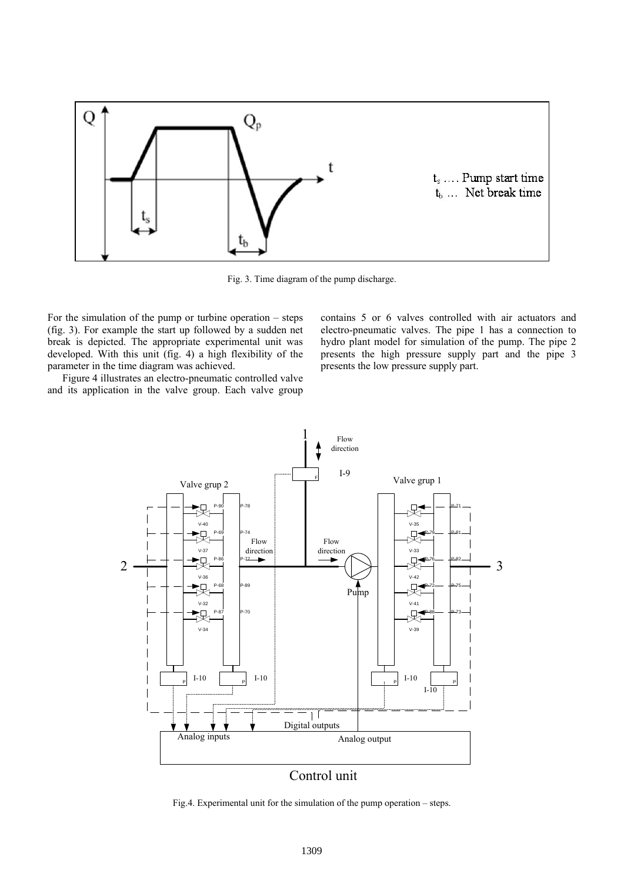

Fig. 3. Time diagram of the pump discharge.

For the simulation of the pump or turbine operation – steps (fig. 3). For example the start up followed by a sudden net break is depicted. The appropriate experimental unit was developed. With this unit (fig. 4) a high flexibility of the parameter in the time diagram was achieved.

Figure 4 illustrates an electro-pneumatic controlled valve and its application in the valve group. Each valve group contains 5 or 6 valves controlled with air actuators and electro-pneumatic valves. The pipe 1 has a connection to hydro plant model for simulation of the pump. The pipe 2 presents the high pressure supply part and the pipe 3 presents the low pressure supply part.



Fig.4. Experimental unit for the simulation of the pump operation – steps.